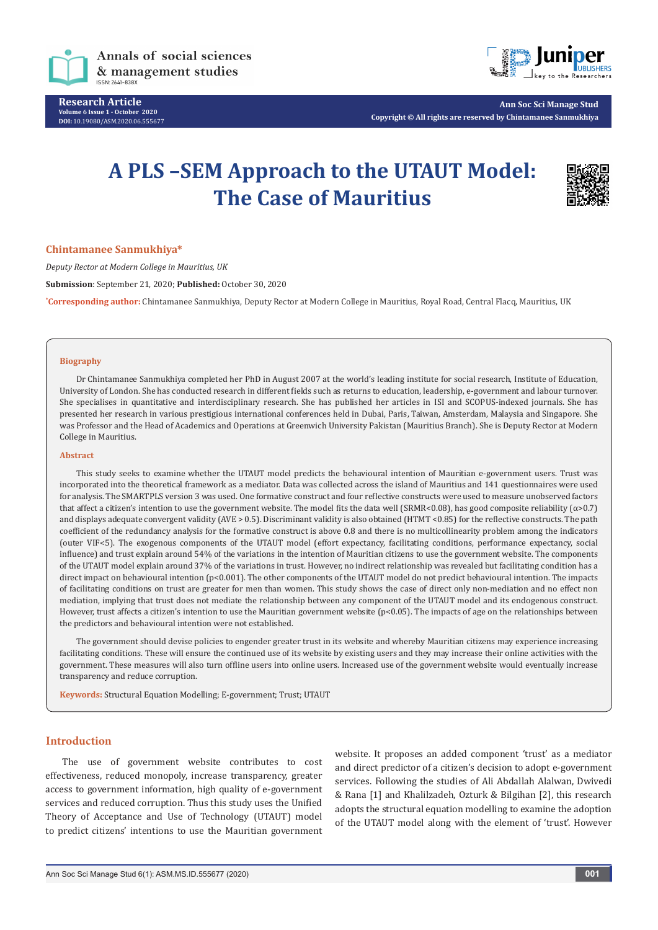

**Research Article Volume 6 Issue 1 - October 2020 DOI:** [10.19080/ASM.2020.06.5556](http://dx.doi.org/10.19080/ASM.2020.06.555677)77



**Ann Soc Sci Manage Stud Copyright © All rights are reserved by Chintamanee Sanmukhiya**

# **A PLS –SEM Approach to the UTAUT Model: The Case of Mauritius**



#### **Chintamanee Sanmukhiya\***

*Deputy Rector at Modern College in Mauritius, UK*

**Submission**: September 21, 2020; **Published:** October 30, 2020

**\* Corresponding author:** Chintamanee Sanmukhiya, Deputy Rector at Modern College in Mauritius, Royal Road, Central Flacq, Mauritius, UK

#### **Biography**

Dr Chintamanee Sanmukhiya completed her PhD in August 2007 at the world's leading institute for social research, Institute of Education, University of London. She has conducted research in different fields such as returns to education, leadership, e-government and labour turnover. She specialises in quantitative and interdisciplinary research. She has published her articles in ISI and SCOPUS-indexed journals. She has presented her research in various prestigious international conferences held in Dubai, Paris, Taiwan, Amsterdam, Malaysia and Singapore. She was Professor and the Head of Academics and Operations at Greenwich University Pakistan (Mauritius Branch). She is Deputy Rector at Modern College in Mauritius.

#### **Abstract**

This study seeks to examine whether the UTAUT model predicts the behavioural intention of Mauritian e-government users. Trust was incorporated into the theoretical framework as a mediator. Data was collected across the island of Mauritius and 141 questionnaires were used for analysis. The SMARTPLS version 3 was used. One formative construct and four reflective constructs were used to measure unobserved factors that affect a citizen's intention to use the government website. The model fits the data well (SRMR<0.08), has good composite reliability (α>0.7) and displays adequate convergent validity (AVE > 0.5). Discriminant validity is also obtained (HTMT <0.85) for the reflective constructs. The path coefficient of the redundancy analysis for the formative construct is above 0.8 and there is no multicollinearity problem among the indicators (outer VIF<5). The exogenous components of the UTAUT model (effort expectancy, facilitating conditions, performance expectancy, social influence) and trust explain around 54% of the variations in the intention of Mauritian citizens to use the government website. The components of the UTAUT model explain around 37% of the variations in trust. However, no indirect relationship was revealed but facilitating condition has a direct impact on behavioural intention (p<0.001). The other components of the UTAUT model do not predict behavioural intention. The impacts of facilitating conditions on trust are greater for men than women. This study shows the case of direct only non-mediation and no effect non mediation, implying that trust does not mediate the relationship between any component of the UTAUT model and its endogenous construct. However, trust affects a citizen's intention to use the Mauritian government website (p<0.05). The impacts of age on the relationships between the predictors and behavioural intention were not established.

The government should devise policies to engender greater trust in its website and whereby Mauritian citizens may experience increasing facilitating conditions. These will ensure the continued use of its website by existing users and they may increase their online activities with the government. These measures will also turn offline users into online users. Increased use of the government website would eventually increase transparency and reduce corruption.

**Keywords:** Structural Equation Modelling; E-government; Trust; UTAUT

#### **Introduction**

The use of government website contributes to cost effectiveness, reduced monopoly, increase transparency, greater access to government information, high quality of e-government services and reduced corruption. Thus this study uses the Unified Theory of Acceptance and Use of Technology (UTAUT) model to predict citizens' intentions to use the Mauritian government website. It proposes an added component 'trust' as a mediator and direct predictor of a citizen's decision to adopt e-government services. Following the studies of Ali Abdallah Alalwan, Dwivedi & Rana [1] and Khalilzadeh, Ozturk & Bilgihan [2], this research adopts the structural equation modelling to examine the adoption of the UTAUT model along with the element of 'trust'. However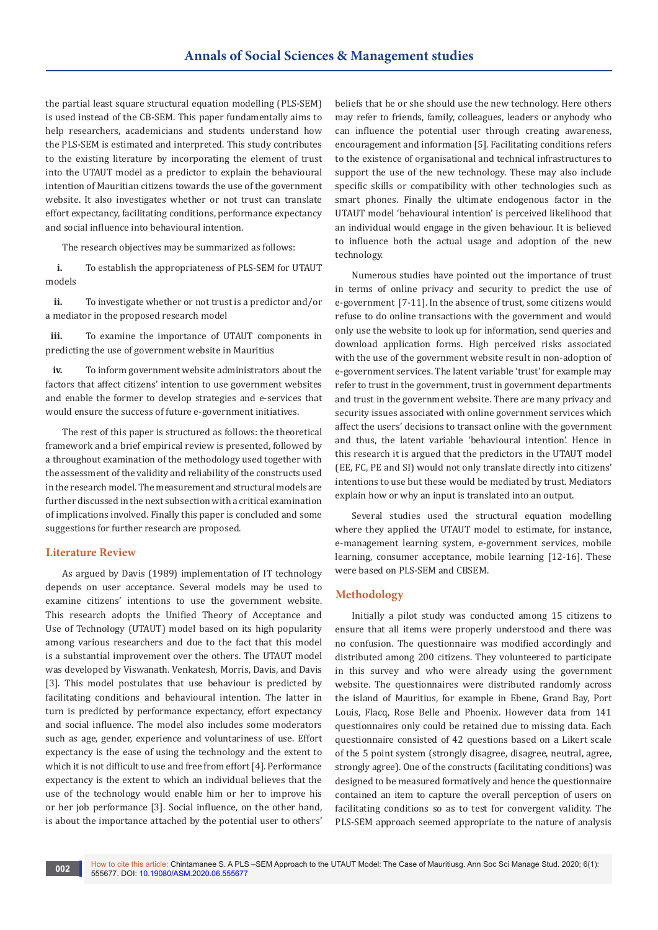the partial least square structural equation modelling (PLS-SEM) is used instead of the CB-SEM. This paper fundamentally aims to help researchers, academicians and students understand how the PLS-SEM is estimated and interpreted. This study contributes to the existing literature by incorporating the element of trust into the UTAUT model as a predictor to explain the behavioural intention of Mauritian citizens towards the use of the government website. It also investigates whether or not trust can translate effort expectancy, facilitating conditions, performance expectancy and social influence into behavioural intention.

The research objectives may be summarized as follows:

**i.** To establish the appropriateness of PLS-SEM for UTAUT models

**ii.** To investigate whether or not trust is a predictor and/or a mediator in the proposed research model

**iii.** To examine the importance of UTAUT components in predicting the use of government website in Mauritius

**iv.** To inform government website administrators about the factors that affect citizens' intention to use government websites and enable the former to develop strategies and e-services that would ensure the success of future e-government initiatives.

The rest of this paper is structured as follows: the theoretical framework and a brief empirical review is presented, followed by a throughout examination of the methodology used together with the assessment of the validity and reliability of the constructs used in the research model. The measurement and structural models are further discussed in the next subsection with a critical examination of implications involved. Finally this paper is concluded and some suggestions for further research are proposed.

## **Literature Review**

As argued by Davis (1989) implementation of IT technology depends on user acceptance. Several models may be used to examine citizens' intentions to use the government website. This research adopts the Unified Theory of Acceptance and Use of Technology (UTAUT) model based on its high popularity among various researchers and due to the fact that this model is a substantial improvement over the others. The UTAUT model was developed by Viswanath. Venkatesh, Morris, Davis, and Davis [3]. This model postulates that use behaviour is predicted by facilitating conditions and behavioural intention. The latter in turn is predicted by performance expectancy, effort expectancy and social influence. The model also includes some moderators such as age, gender, experience and voluntariness of use. Effort expectancy is the ease of using the technology and the extent to which it is not difficult to use and free from effort [4]. Performance expectancy is the extent to which an individual believes that the use of the technology would enable him or her to improve his or her job performance [3]. Social influence, on the other hand, is about the importance attached by the potential user to others'

beliefs that he or she should use the new technology. Here others may refer to friends, family, colleagues, leaders or anybody who can influence the potential user through creating awareness, encouragement and information [5]. Facilitating conditions refers to the existence of organisational and technical infrastructures to support the use of the new technology. These may also include specific skills or compatibility with other technologies such as smart phones. Finally the ultimate endogenous factor in the UTAUT model 'behavioural intention' is perceived likelihood that an individual would engage in the given behaviour. It is believed to influence both the actual usage and adoption of the new technology.

Numerous studies have pointed out the importance of trust in terms of online privacy and security to predict the use of e-government [7-11]. In the absence of trust, some citizens would refuse to do online transactions with the government and would only use the website to look up for information, send queries and download application forms. High perceived risks associated with the use of the government website result in non-adoption of e-government services. The latent variable 'trust' for example may refer to trust in the government, trust in government departments and trust in the government website. There are many privacy and security issues associated with online government services which affect the users' decisions to transact online with the government and thus, the latent variable 'behavioural intention'. Hence in this research it is argued that the predictors in the UTAUT model (EE, FC, PE and SI) would not only translate directly into citizens' intentions to use but these would be mediated by trust. Mediators explain how or why an input is translated into an output.

Several studies used the structural equation modelling where they applied the UTAUT model to estimate, for instance, e-management learning system, e-government services, mobile learning, consumer acceptance, mobile learning [12-16]. These were based on PLS-SEM and CBSEM.

## **Methodology**

Initially a pilot study was conducted among 15 citizens to ensure that all items were properly understood and there was no confusion. The questionnaire was modified accordingly and distributed among 200 citizens. They volunteered to participate in this survey and who were already using the government website. The questionnaires were distributed randomly across the island of Mauritius, for example in Ebene, Grand Bay, Port Louis, Flacq, Rose Belle and Phoenix. However data from 141 questionnaires only could be retained due to missing data. Each questionnaire consisted of 42 questions based on a Likert scale of the 5 point system (strongly disagree, disagree, neutral, agree, strongly agree). One of the constructs (facilitating conditions) was designed to be measured formatively and hence the questionnaire contained an item to capture the overall perception of users on facilitating conditions so as to test for convergent validity. The PLS-SEM approach seemed appropriate to the nature of analysis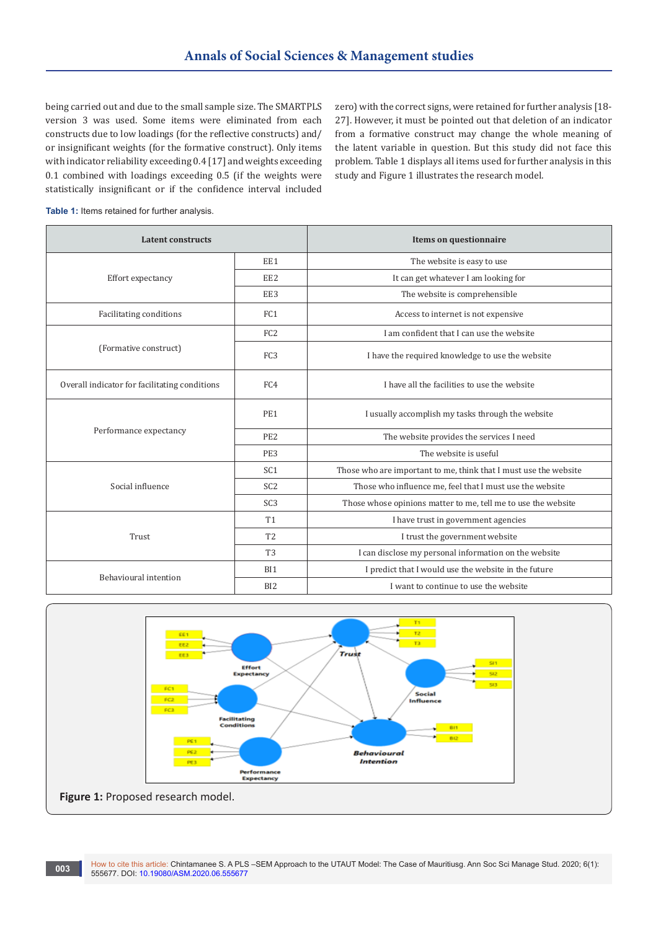being carried out and due to the small sample size. The SMARTPLS version 3 was used. Some items were eliminated from each constructs due to low loadings (for the reflective constructs) and/ or insignificant weights (for the formative construct). Only items with indicator reliability exceeding 0.4 [17] and weights exceeding 0.1 combined with loadings exceeding 0.5 (if the weights were statistically insignificant or if the confidence interval included

zero) with the correct signs, were retained for further analysis [18- 27]. However, it must be pointed out that deletion of an indicator from a formative construct may change the whole meaning of the latent variable in question. But this study did not face this problem. Table 1 displays all items used for further analysis in this study and Figure 1 illustrates the research model.

| Table 1: Items retained for further analysis. |  |  |
|-----------------------------------------------|--|--|
|-----------------------------------------------|--|--|

| <b>Latent constructs</b>                      |                 | Items on questionnaire                                           |  |  |
|-----------------------------------------------|-----------------|------------------------------------------------------------------|--|--|
|                                               | EE1             | The website is easy to use                                       |  |  |
| Effort expectancy                             | EE <sub>2</sub> | It can get whatever I am looking for                             |  |  |
|                                               | EE3             | The website is comprehensible                                    |  |  |
| Facilitating conditions                       | FC <sub>1</sub> | Access to internet is not expensive                              |  |  |
|                                               | FC <sub>2</sub> | I am confident that I can use the website                        |  |  |
| (Formative construct)                         | FC <sub>3</sub> | I have the required knowledge to use the website                 |  |  |
| Overall indicator for facilitating conditions | FC4             | I have all the facilities to use the website                     |  |  |
|                                               | PE <sub>1</sub> | I usually accomplish my tasks through the website                |  |  |
| Performance expectancy                        | PE <sub>2</sub> | The website provides the services I need                         |  |  |
|                                               | PE3             | The website is useful                                            |  |  |
|                                               | SC <sub>1</sub> | Those who are important to me, think that I must use the website |  |  |
| Social influence                              | SC <sub>2</sub> | Those who influence me, feel that I must use the website         |  |  |
|                                               | SC <sub>3</sub> | Those whose opinions matter to me, tell me to use the website    |  |  |
|                                               | <b>T1</b>       | I have trust in government agencies                              |  |  |
| T <sub>2</sub><br>Trust                       |                 | I trust the government website                                   |  |  |
|                                               | T <sub>3</sub>  | I can disclose my personal information on the website            |  |  |
|                                               | BI1             | I predict that I would use the website in the future             |  |  |
| Behavioural intention<br>B <sub>I2</sub>      |                 | I want to continue to use the website                            |  |  |

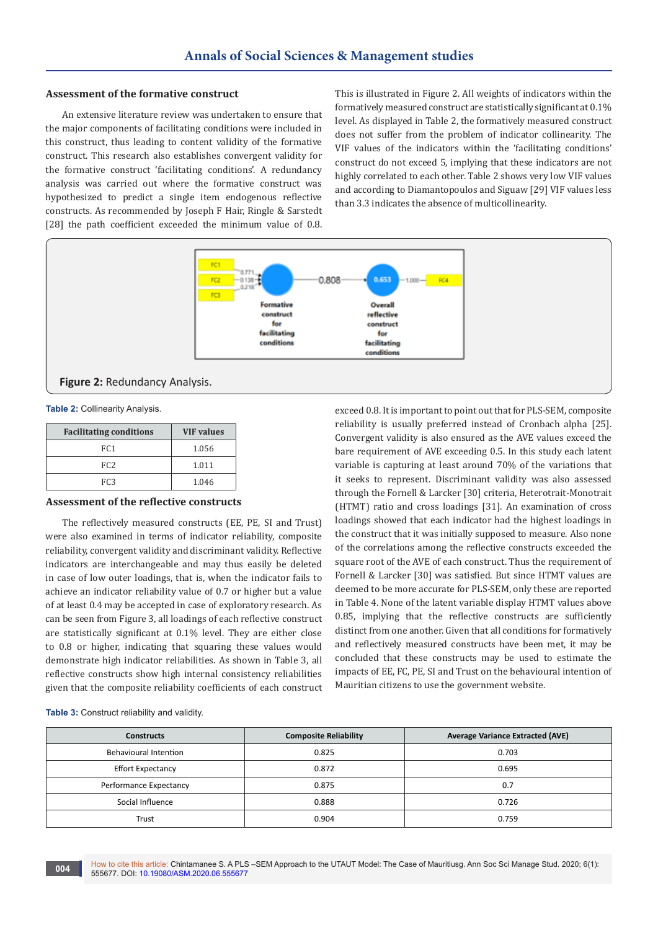# **Assessment of the formative construct**

An extensive literature review was undertaken to ensure that the major components of facilitating conditions were included in this construct, thus leading to content validity of the formative construct. This research also establishes convergent validity for the formative construct 'facilitating conditions'. A redundancy analysis was carried out where the formative construct was hypothesized to predict a single item endogenous reflective constructs. As recommended by Joseph F Hair, Ringle & Sarstedt [28] the path coefficient exceeded the minimum value of 0.8.

This is illustrated in Figure 2. All weights of indicators within the formatively measured construct are statistically significant at 0.1% level. As displayed in Table 2, the formatively measured construct does not suffer from the problem of indicator collinearity. The VIF values of the indicators within the 'facilitating conditions' construct do not exceed 5, implying that these indicators are not highly correlated to each other. Table 2 shows very low VIF values and according to Diamantopoulos and Siguaw [29] VIF values less than 3.3 indicates the absence of multicollinearity.



#### **Figure 2:** Redundancy Analysis.

**Table 2:** Collinearity Analysis.

| <b>Facilitating conditions</b> | <b>VIF</b> values |
|--------------------------------|-------------------|
| FC <sub>1</sub>                | 1.056             |
| FC <sub>2</sub>                | 1.011             |
| FC <sub>3</sub>                | 1.046             |

## **Assessment of the reflective constructs**

The reflectively measured constructs (EE, PE, SI and Trust) were also examined in terms of indicator reliability, composite reliability, convergent validity and discriminant validity. Reflective indicators are interchangeable and may thus easily be deleted in case of low outer loadings, that is, when the indicator fails to achieve an indicator reliability value of 0.7 or higher but a value of at least 0.4 may be accepted in case of exploratory research. As can be seen from Figure 3, all loadings of each reflective construct are statistically significant at 0.1% level. They are either close to 0.8 or higher, indicating that squaring these values would demonstrate high indicator reliabilities. As shown in Table 3, all reflective constructs show high internal consistency reliabilities given that the composite reliability coefficients of each construct

exceed 0.8. It is important to point out that for PLS-SEM, composite reliability is usually preferred instead of Cronbach alpha [25]. Convergent validity is also ensured as the AVE values exceed the bare requirement of AVE exceeding 0.5. In this study each latent variable is capturing at least around 70% of the variations that it seeks to represent. Discriminant validity was also assessed through the Fornell & Larcker [30] criteria, Heterotrait-Monotrait (HTMT) ratio and cross loadings [31]. An examination of cross loadings showed that each indicator had the highest loadings in the construct that it was initially supposed to measure. Also none of the correlations among the reflective constructs exceeded the square root of the AVE of each construct. Thus the requirement of Fornell & Larcker [30] was satisfied. But since HTMT values are deemed to be more accurate for PLS-SEM, only these are reported in Table 4. None of the latent variable display HTMT values above 0.85, implying that the reflective constructs are sufficiently distinct from one another. Given that all conditions for formatively and reflectively measured constructs have been met, it may be concluded that these constructs may be used to estimate the impacts of EE, FC, PE, SI and Trust on the behavioural intention of Mauritian citizens to use the government website.

**Table 3:** Construct reliability and validity.

| <b>Constructs</b>        | <b>Composite Reliability</b> | <b>Average Variance Extracted (AVE)</b> |
|--------------------------|------------------------------|-----------------------------------------|
| Behavioural Intention    | 0.825                        | 0.703                                   |
| <b>Effort Expectancy</b> | 0.872                        | 0.695                                   |
| Performance Expectancy   | 0.875                        | 0.7                                     |
| Social Influence         | 0.888                        | 0.726                                   |
| Trust                    | 0.904                        | 0.759                                   |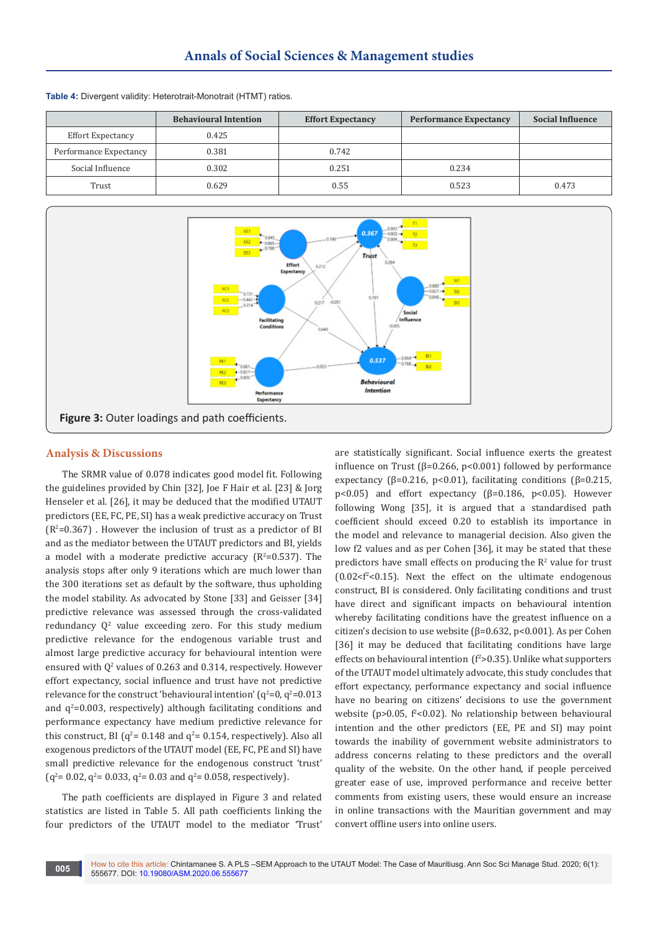|                        | <b>Behavioural Intention</b> | <b>Effort Expectancy</b> | <b>Performance Expectancy</b> | <b>Social Influence</b> |
|------------------------|------------------------------|--------------------------|-------------------------------|-------------------------|
| Effort Expectancy      | 0.425                        |                          |                               |                         |
| Performance Expectancy | 0.381                        | 0.742                    |                               |                         |
| Social Influence       | 0.302                        | 0.251                    | 0.234                         |                         |
| Trust                  | 0.629                        | 0.55                     | 0.523                         | 0.473                   |

**Table 4:** Divergent validity: Heterotrait-Monotrait (HTMT) ratios.



# **Analysis & Discussions**

The SRMR value of 0.078 indicates good model fit. Following the guidelines provided by Chin [32], Joe F Hair et al. [23] & Jorg Henseler et al. [26], it may be deduced that the modified UTAUT predictors (EE, FC, PE, SI) has a weak predictive accuracy on Trust  $(R<sup>2</sup>=0.367)$  . However the inclusion of trust as a predictor of BI and as the mediator between the UTAUT predictors and BI, yields a model with a moderate predictive accuracy  $(R^2=0.537)$ . The analysis stops after only 9 iterations which are much lower than the 300 iterations set as default by the software, thus upholding the model stability. As advocated by Stone [33] and Geisser [34] predictive relevance was assessed through the cross-validated  $redundancy Q<sup>2</sup> value exceeding zero. For this study medium$ predictive relevance for the endogenous variable trust and almost large predictive accuracy for behavioural intention were ensured with  $Q^2$  values of 0.263 and 0.314, respectively. However effort expectancy, social influence and trust have not predictive relevance for the construct 'behavioural intention' ( $q^2$ =0,  $q^2$ =0.013 and  $q^2$ =0.003, respectively) although facilitating conditions and performance expectancy have medium predictive relevance for this construct, BI ( $q^2$ = 0.148 and  $q^2$ = 0.154, respectively). Also all exogenous predictors of the UTAUT model (EE, FC, PE and SI) have small predictive relevance for the endogenous construct 'trust'  $(q^2 = 0.02, q^2 = 0.033, q^2 = 0.03$  and  $q^2 = 0.058$ , respectively).

The path coefficients are displayed in Figure 3 and related statistics are listed in Table 5. All path coefficients linking the four predictors of the UTAUT model to the mediator 'Trust' are statistically significant. Social influence exerts the greatest influence on Trust ( $β=0.266$ ,  $p<0.001$ ) followed by performance expectancy ( $\beta$ =0.216, p<0.01), facilitating conditions ( $\beta$ =0.215, p<0.05) and effort expectancy ( $β=0.186$ ,  $p<0.05$ ). However following Wong [35], it is argued that a standardised path coefficient should exceed 0.20 to establish its importance in the model and relevance to managerial decision. Also given the low f2 values and as per Cohen [36], it may be stated that these predictors have small effects on producing the  $R<sup>2</sup>$  value for trust  $(0.02 < f<sup>2</sup> < 0.15)$ . Next the effect on the ultimate endogenous construct, BI is considered. Only facilitating conditions and trust have direct and significant impacts on behavioural intention whereby facilitating conditions have the greatest influence on a citizen's decision to use website ( $β=0.632$ ,  $p<0.001$ ). As per Cohen [36] it may be deduced that facilitating conditions have large effects on behavioural intention  $(f^2>0.35)$ . Unlike what supporters of the UTAUT model ultimately advocate, this study concludes that effort expectancy, performance expectancy and social influence have no bearing on citizens' decisions to use the government website (p>0.05, f<sup>2</sup><0.02). No relationship between behavioural intention and the other predictors (EE, PE and SI) may point towards the inability of government website administrators to address concerns relating to these predictors and the overall quality of the website. On the other hand, if people perceived greater ease of use, improved performance and receive better comments from existing users, these would ensure an increase in online transactions with the Mauritian government and may convert offline users into online users.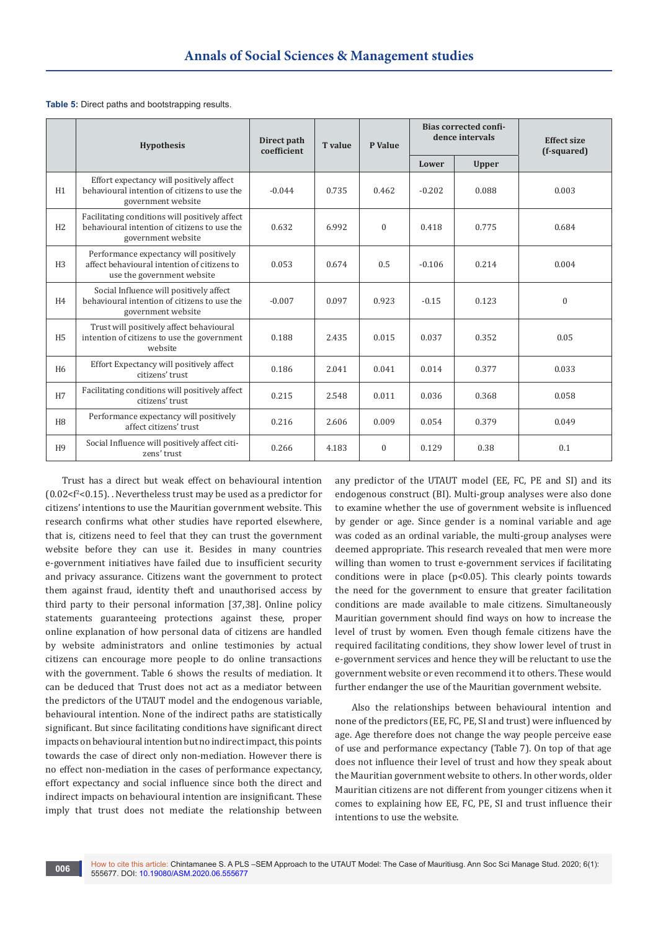| Table 5: Direct paths and bootstrapping results. |  |
|--------------------------------------------------|--|
|--------------------------------------------------|--|

|                | <b>Hypothesis</b>                                                                                                    | Direct path<br>coefficient | <b>T</b> value | <b>Bias corrected confi-</b><br>dence intervals<br>P Value |          |              | <b>Effect size</b><br>(f-squared) |  |
|----------------|----------------------------------------------------------------------------------------------------------------------|----------------------------|----------------|------------------------------------------------------------|----------|--------------|-----------------------------------|--|
|                |                                                                                                                      |                            |                |                                                            | Lower    | <b>Upper</b> |                                   |  |
| H1             | Effort expectancy will positively affect<br>behavioural intention of citizens to use the<br>government website       | $-0.044$                   | 0.735          | 0.462                                                      | $-0.202$ | 0.088        | 0.003                             |  |
| H <sub>2</sub> | Facilitating conditions will positively affect<br>behavioural intention of citizens to use the<br>government website | 0.632                      | 6.992          | $\mathbf{0}$                                               | 0.418    | 0.775        | 0.684                             |  |
| H <sub>3</sub> | Performance expectancy will positively<br>affect behavioural intention of citizens to<br>use the government website  | 0.053                      | 0.674          | 0.5                                                        | $-0.106$ | 0.214        | 0.004                             |  |
| H4             | Social Influence will positively affect<br>behavioural intention of citizens to use the<br>government website        | $-0.007$                   | 0.097          | 0.923                                                      | $-0.15$  | 0.123        | $\mathbf{0}$                      |  |
| H <sub>5</sub> | Trust will positively affect behavioural<br>intention of citizens to use the government<br>website                   | 0.188                      | 2.435          | 0.015                                                      | 0.037    | 0.352        | 0.05                              |  |
| H <sub>6</sub> | Effort Expectancy will positively affect<br>citizens' trust                                                          | 0.186                      | 2.041          | 0.041                                                      | 0.014    | 0.377        | 0.033                             |  |
| H7             | Facilitating conditions will positively affect<br>citizens' trust                                                    | 0.215                      | 2.548          | 0.011                                                      | 0.036    | 0.368        | 0.058                             |  |
| H <sub>8</sub> | Performance expectancy will positively<br>affect citizens' trust                                                     | 0.216                      | 2.606          | 0.009                                                      | 0.054    | 0.379        | 0.049                             |  |
| H <sub>9</sub> | Social Influence will positively affect citi-<br>zens' trust                                                         | 0.266                      | 4.183          | $\mathbf{0}$                                               | 0.129    | 0.38         | 0.1                               |  |

Trust has a direct but weak effect on behavioural intention  $(0.02 < f<sup>2</sup> < 0.15)$ . Nevertheless trust may be used as a predictor for citizens' intentions to use the Mauritian government website. This research confirms what other studies have reported elsewhere, that is, citizens need to feel that they can trust the government website before they can use it. Besides in many countries e-government initiatives have failed due to insufficient security and privacy assurance. Citizens want the government to protect them against fraud, identity theft and unauthorised access by third party to their personal information [37,38]. Online policy statements guaranteeing protections against these, proper online explanation of how personal data of citizens are handled by website administrators and online testimonies by actual citizens can encourage more people to do online transactions with the government. Table 6 shows the results of mediation. It can be deduced that Trust does not act as a mediator between the predictors of the UTAUT model and the endogenous variable, behavioural intention. None of the indirect paths are statistically significant. But since facilitating conditions have significant direct impacts on behavioural intention but no indirect impact, this points towards the case of direct only non-mediation. However there is no effect non-mediation in the cases of performance expectancy, effort expectancy and social influence since both the direct and indirect impacts on behavioural intention are insignificant. These imply that trust does not mediate the relationship between

any predictor of the UTAUT model (EE, FC, PE and SI) and its endogenous construct (BI). Multi-group analyses were also done to examine whether the use of government website is influenced by gender or age. Since gender is a nominal variable and age was coded as an ordinal variable, the multi-group analyses were deemed appropriate. This research revealed that men were more willing than women to trust e-government services if facilitating conditions were in place ( $p<0.05$ ). This clearly points towards the need for the government to ensure that greater facilitation conditions are made available to male citizens. Simultaneously Mauritian government should find ways on how to increase the level of trust by women. Even though female citizens have the required facilitating conditions, they show lower level of trust in e-government services and hence they will be reluctant to use the government website or even recommend it to others. These would further endanger the use of the Mauritian government website.

Also the relationships between behavioural intention and none of the predictors (EE, FC, PE, SI and trust) were influenced by age. Age therefore does not change the way people perceive ease of use and performance expectancy (Table 7). On top of that age does not influence their level of trust and how they speak about the Mauritian government website to others. In other words, older Mauritian citizens are not different from younger citizens when it comes to explaining how EE, FC, PE, SI and trust influence their intentions to use the website.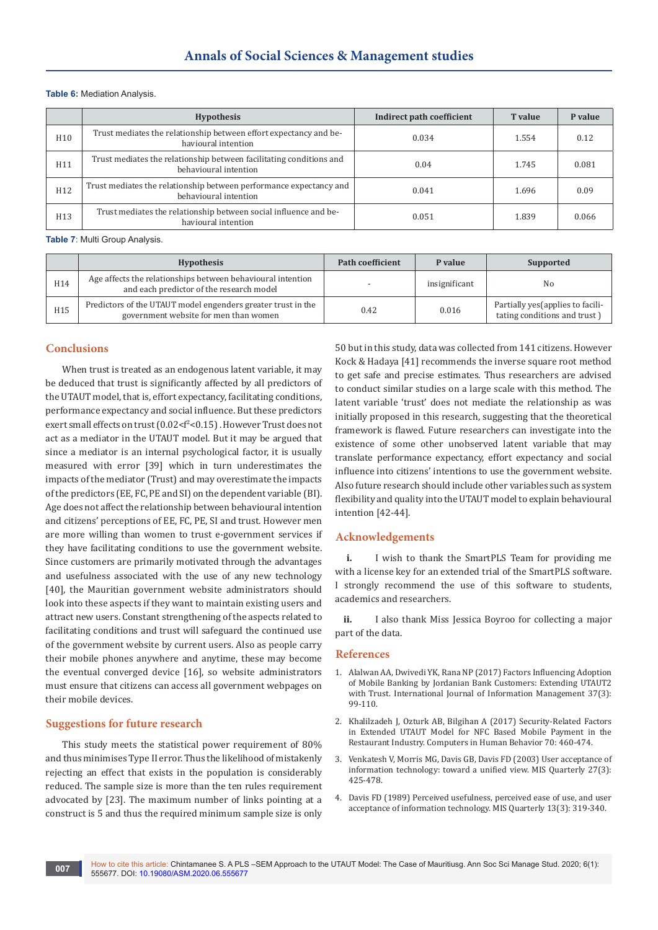#### **Table 6:** Mediation Analysis.

|                 | <b>Hypothesis</b>                                                                            | Indirect path coefficient | T value | P value |
|-----------------|----------------------------------------------------------------------------------------------|---------------------------|---------|---------|
| H <sub>10</sub> | Trust mediates the relationship between effort expectancy and be-<br>havioural intention     | 0.034                     | 1.554   | 0.12    |
| H11             | Trust mediates the relationship between facilitating conditions and<br>behavioural intention | 0.04                      | 1.745   | 0.081   |
| H <sub>12</sub> | Trust mediates the relationship between performance expectancy and<br>behavioural intention  | 0.041                     | 1.696   | 0.09    |
| H13             | Trust mediates the relationship between social influence and be-<br>havioural intention      | 0.051                     | 1.839   | 0.066   |

**Table 7**: Multi Group Analysis.

|     | <b>Hypothesis</b>                                                                                       | <b>Path coefficient</b> | P value       | Supported                                                         |
|-----|---------------------------------------------------------------------------------------------------------|-------------------------|---------------|-------------------------------------------------------------------|
| H14 | Age affects the relationships between behavioural intention<br>and each predictor of the research model |                         | insignificant | No                                                                |
| H15 | Predictors of the UTAUT model engenders greater trust in the<br>government website for men than women   | 0.42                    | 0.016         | Partially yes (applies to facili-<br>tating conditions and trust) |

#### **Conclusions**

When trust is treated as an endogenous latent variable, it may be deduced that trust is significantly affected by all predictors of the UTAUT model, that is, effort expectancy, facilitating conditions, performance expectancy and social influence. But these predictors exert small effects on trust (0.02<f<sup>2</sup><0.15). However Trust does not act as a mediator in the UTAUT model. But it may be argued that since a mediator is an internal psychological factor, it is usually measured with error [39] which in turn underestimates the impacts of the mediator (Trust) and may overestimate the impacts of the predictors (EE, FC, PE and SI) on the dependent variable (BI). Age does not affect the relationship between behavioural intention and citizens' perceptions of EE, FC, PE, SI and trust. However men are more willing than women to trust e-government services if they have facilitating conditions to use the government website. Since customers are primarily motivated through the advantages and usefulness associated with the use of any new technology [40], the Mauritian government website administrators should look into these aspects if they want to maintain existing users and attract new users. Constant strengthening of the aspects related to facilitating conditions and trust will safeguard the continued use of the government website by current users. Also as people carry their mobile phones anywhere and anytime, these may become the eventual converged device [16], so website administrators must ensure that citizens can access all government webpages on their mobile devices.

#### **Suggestions for future research**

This study meets the statistical power requirement of 80% and thus minimises Type II error. Thus the likelihood of mistakenly rejecting an effect that exists in the population is considerably reduced. The sample size is more than the ten rules requirement advocated by [23]. The maximum number of links pointing at a construct is 5 and thus the required minimum sample size is only

50 but in this study, data was collected from 141 citizens. However Kock & Hadaya [41] recommends the inverse square root method to get safe and precise estimates. Thus researchers are advised to conduct similar studies on a large scale with this method. The latent variable 'trust' does not mediate the relationship as was initially proposed in this research, suggesting that the theoretical framework is flawed. Future researchers can investigate into the existence of some other unobserved latent variable that may translate performance expectancy, effort expectancy and social influence into citizens' intentions to use the government website. Also future research should include other variables such as system flexibility and quality into the UTAUT model to explain behavioural intention [42-44].

#### **Acknowledgements**

**i.** I wish to thank the SmartPLS Team for providing me with a license key for an extended trial of the SmartPLS software. I strongly recommend the use of this software to students, academics and researchers.

ii. I also thank Miss Jessica Boyroo for collecting a major part of the data.

#### **References**

- 1. [Alalwan AA, Dwivedi YK, Rana NP \(2017\) Factors Influencing Adoption](https://www.sciencedirect.com/science/article/abs/pii/S026840121630696X)  [of Mobile Banking by Jordanian Bank Customers: Extending UTAUT2](https://www.sciencedirect.com/science/article/abs/pii/S026840121630696X)  [with Trust. International Journal of Information Management 37\(3\):](https://www.sciencedirect.com/science/article/abs/pii/S026840121630696X)  [99-110.](https://www.sciencedirect.com/science/article/abs/pii/S026840121630696X)
- 2. [Khalilzadeh J, Ozturk AB, Bilgihan A \(2017\) Security-Related Factors](https://www.sciencedirect.com/science/article/abs/pii/S0747563217300018)  [in Extended UTAUT Model for NFC Based Mobile Payment in the](https://www.sciencedirect.com/science/article/abs/pii/S0747563217300018)  [Restaurant Industry. Computers in Human Behavior 70: 460-474.](https://www.sciencedirect.com/science/article/abs/pii/S0747563217300018)
- 3. [Venkatesh V, Morris MG, Davis GB, Davis FD \(2003\) User acceptance of](https://www.jstor.org/stable/30036540?seq=1)  [information technology: toward a unified view. MIS Quarterly 27\(3\):](https://www.jstor.org/stable/30036540?seq=1)  [425-478.](https://www.jstor.org/stable/30036540?seq=1)
- 4. [Davis FD \(1989\) Perceived usefulness, perceived ease of use, and user](https://www.jstor.org/stable/249008?seq=1)  [acceptance of information technology. MIS Quarterly 13\(3\): 319-340.](https://www.jstor.org/stable/249008?seq=1)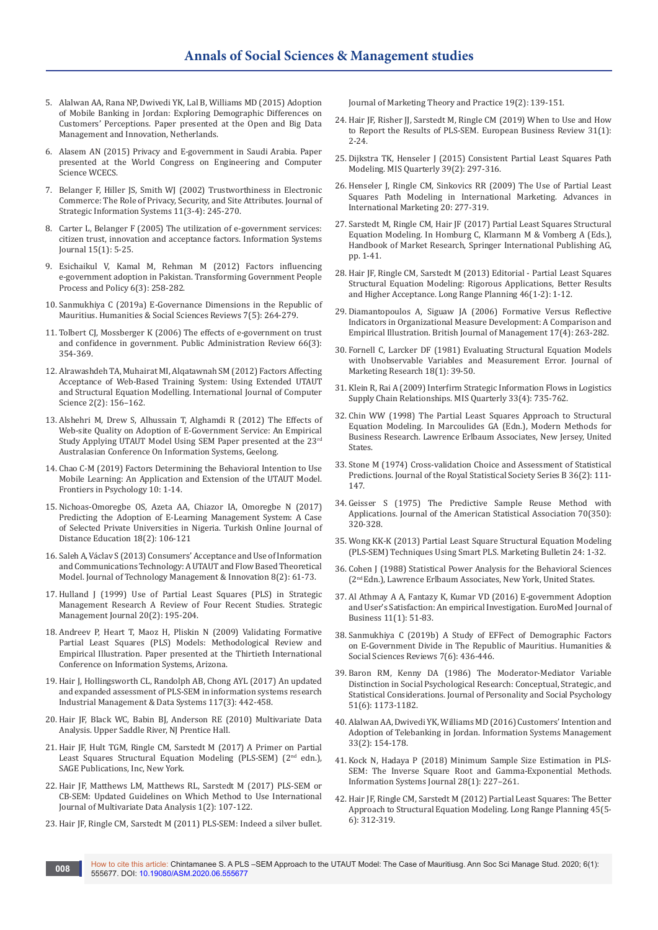- 5. [Alalwan AA, Rana NP, Dwivedi YK, Lal B, Williams MD \(2015\) Adoption](https://hal.archives-ouvertes.fr/hal-01448054/)  [of Mobile Banking in Jordan: Exploring Demographic Differences on](https://hal.archives-ouvertes.fr/hal-01448054/)  [Customers' Perceptions. Paper presented at the Open and Big Data](https://hal.archives-ouvertes.fr/hal-01448054/)  [Management and Innovation, Netherlands.](https://hal.archives-ouvertes.fr/hal-01448054/)
- 6. [Alasem AN \(2015\) Privacy and E-government in Saudi Arabia. Paper](http://www.iaeng.org/publication/WCECS2015/WCECS2015_pp988-991.pdf)  [presented at the World Congress on Engineering and Computer](http://www.iaeng.org/publication/WCECS2015/WCECS2015_pp988-991.pdf)  [Science WCECS.](http://www.iaeng.org/publication/WCECS2015/WCECS2015_pp988-991.pdf)
- 7. [Belanger F, Hiller JS, Smith WJ \(2002\) Trustworthiness in Electronic](https://www.sciencedirect.com/science/article/abs/pii/S0963868702000185)  [Commerce: The Role of Privacy, Security, and Site Attributes. Journal of](https://www.sciencedirect.com/science/article/abs/pii/S0963868702000185)  [Strategic Information Systems 11\(3-4\): 245-270.](https://www.sciencedirect.com/science/article/abs/pii/S0963868702000185)
- 8. [Carter L, Belanger F \(2005\) The utilization of e-government services:](https://onlinelibrary.wiley.com/doi/abs/10.1111/j.1365-2575.2005.00183.x)  [citizen trust, innovation and acceptance factors. Information Systems](https://onlinelibrary.wiley.com/doi/abs/10.1111/j.1365-2575.2005.00183.x)  [Journal 15\(1\): 5-25.](https://onlinelibrary.wiley.com/doi/abs/10.1111/j.1365-2575.2005.00183.x)
- 9. [Esichaikul V, Kamal M, Rehman M \(2012\) Factors influencing](https://www.emerald.com/insight/content/doi/10.1108/17506161211251263/full/html)  [e-government adoption in Pakistan. Transforming Government People](https://www.emerald.com/insight/content/doi/10.1108/17506161211251263/full/html)  [Process and Policy 6\(3\): 258-282.](https://www.emerald.com/insight/content/doi/10.1108/17506161211251263/full/html)
- 10. [Sanmukhiya C \(2019a\) E-Governance Dimensions in the Republic of](https://giapjournals.com/hssr/article/view/hssr.2019.7532)  [Mauritius. Humanities & Social Sciences Reviews 7\(5\): 264-279.](https://giapjournals.com/hssr/article/view/hssr.2019.7532)
- 11. [Tolbert CJ, Mossberger K \(2006\) The effects of e-government on trust](https://onlinelibrary.wiley.com/doi/abs/10.1111/j.1540-6210.2006.00594.x)  [and confidence in government. Public Administration Review 66\(3\):](https://onlinelibrary.wiley.com/doi/abs/10.1111/j.1540-6210.2006.00594.x)  [354-369.](https://onlinelibrary.wiley.com/doi/abs/10.1111/j.1540-6210.2006.00594.x)
- 12. [Alrawashdeh TA, Muhairat MI, Alqatawnah SM \(2012\) Factors Affecting](https://arxiv.org/abs/1205.1904)  [Acceptance of Web-Based Training System: Using Extended UTAUT](https://arxiv.org/abs/1205.1904)  [and Structural Equation Modelling. International Journal of Computer](https://arxiv.org/abs/1205.1904)  [Science 2\(2\): 156–162.](https://arxiv.org/abs/1205.1904)
- 13. Alshehri M, Drew S, Alhussain T, Alghamdi R (2012) The Effects of Web-site Quality on Adoption of E-Government Service: An Empirical Study Applying UTAUT Model Using SEM Paper presented at the 23rd Australasian Conference On Information Systems, Geelong.
- 14. [Chao C-M \(2019\) Factors Determining the Behavioral Intention to Use](https://www.frontiersin.org/articles/10.3389/fpsyg.2019.01652/full)  [Mobile Learning: An Application and Extension of the UTAUT Model.](https://www.frontiersin.org/articles/10.3389/fpsyg.2019.01652/full)  [Frontiers in Psychology 10: 1-14.](https://www.frontiersin.org/articles/10.3389/fpsyg.2019.01652/full)
- 15. Nichoas-Omoregbe OS, Azeta AA, Chiazor IA, Omoregbe N (2017) Predicting the Adoption of E-Learning Management System: A Case of Selected Private Universities in Nigeria. Turkish Online Journal of Distance Education 18(2): 106-121
- 16. [Saleh A, Václav S \(2013\) Consumers' Acceptance and Use of Information](https://scielo.conicyt.cl/scielo.php?script=sci_arttext&pid=S0718-27242013000200005)  [and Communications Technology: A UTAUT and Flow Based Theoretical](https://scielo.conicyt.cl/scielo.php?script=sci_arttext&pid=S0718-27242013000200005)  [Model. Journal of Technology Management & Innovation 8\(2\): 61-73.](https://scielo.conicyt.cl/scielo.php?script=sci_arttext&pid=S0718-27242013000200005)
- 17. Hulland J (1999) Use of Partial Least Squares (PLS) in Strategic Management Research A Review of Four Recent Studies. Strategic Management Journal 20(2): 195-204.
- 18. [Andreev P, Heart T, Maoz H, Pliskin N \(2009\) Validating Formative](https://aisel.aisnet.org/cgi/viewcontent.cgi?article=1012&context=icis2009)  [Partial Least Squares \(PLS\) Models: Methodological Review and](https://aisel.aisnet.org/cgi/viewcontent.cgi?article=1012&context=icis2009)  [Empirical Illustration. Paper presented at the Thirtieth International](https://aisel.aisnet.org/cgi/viewcontent.cgi?article=1012&context=icis2009)  [Conference on Information Systems, Arizona.](https://aisel.aisnet.org/cgi/viewcontent.cgi?article=1012&context=icis2009)
- 19. [Hair J, Hollingsworth CL, Randolph AB, Chong AYL \(2017\) An updated](https://www.emerald.com/insight/content/doi/10.1108/IMDS-04-2016-0130/full/html)  [and expanded assessment of PLS-SEM in information systems research](https://www.emerald.com/insight/content/doi/10.1108/IMDS-04-2016-0130/full/html)  [Industrial Management & Data Systems 117\(3\): 442-458.](https://www.emerald.com/insight/content/doi/10.1108/IMDS-04-2016-0130/full/html)
- 20. Hair JF, Black WC, Babin BJ, Anderson RE (2010) Multivariate Data Analysis. Upper Saddle River, NJ Prentice Hall.
- 21. Hair JF, Hult TGM, Ringle CM, Sarstedt M (2017) A Primer on Partial Least Squares Structural Equation Modeling (PLS-SEM) (2<sup>nd</sup> edn.), SAGE Publications, Inc, New York.
- 22. [Hair JF, Matthews LM, Matthews RL, Sarstedt M \(2017\) PLS-SEM or](https://www.inderscienceonline.com/doi/abs/10.1504/IJMDA.2017.087624)  [CB-SEM: Updated Guidelines on Which Method to Use International](https://www.inderscienceonline.com/doi/abs/10.1504/IJMDA.2017.087624)  [Journal of Multivariate Data Analysis 1\(2\): 107-122.](https://www.inderscienceonline.com/doi/abs/10.1504/IJMDA.2017.087624)
- 23. [Hair JF, Ringle CM, Sarstedt M \(2011\) PLS-SEM: Indeed a silver bullet.](https://www.tandfonline.com/doi/abs/10.2753/MTP1069-6679190202)

[Journal of Marketing Theory and Practice 19\(2\): 139-151.](https://www.tandfonline.com/doi/abs/10.2753/MTP1069-6679190202)

- 24. [Hair JF, Risher JJ, Sarstedt M, Ringle CM \(2019\) When to Use and How](https://www.emerald.com/insight/content/doi/10.1108/EBR-11-2018-0203/full/html)  [to Report the Results of PLS-SEM. European Business Review 31\(1\):](https://www.emerald.com/insight/content/doi/10.1108/EBR-11-2018-0203/full/html)  [2-24.](https://www.emerald.com/insight/content/doi/10.1108/EBR-11-2018-0203/full/html)
- 25. [Dijkstra TK, Henseler J \(2015\) Consistent Partial Least Squares Path](https://dl.acm.org/doi/10.25300/MISQ/2015/39.2.02)  [Modeling. MIS Quarterly 39\(2\): 297-316.](https://dl.acm.org/doi/10.25300/MISQ/2015/39.2.02)
- 26. [Henseler J, Ringle CM, Sinkovics RR \(2009\) The Use of Partial Least](https://www.emerald.com/insight/content/doi/10.1108/S1474-7979(2009)0000020014/full/html)  [Squares Path Modeling in International Marketing. Advances in](https://www.emerald.com/insight/content/doi/10.1108/S1474-7979(2009)0000020014/full/html)  [International Marketing 20: 277-319.](https://www.emerald.com/insight/content/doi/10.1108/S1474-7979(2009)0000020014/full/html)
- 27. Sarstedt M, Ringle CM, Hair JF (2017) Partial Least Squares Structural Equation Modeling. In Homburg C, Klarmann M & Vomberg A (Eds.), Handbook of Market Research, Springer International Publishing AG, pp. 1-41.
- 28. [Hair JF, Ringle CM, Sarstedt M \(2013\) Editorial Partial Least Squares](https://psycnet.apa.org/record/2013-07989-002)  [Structural Equation Modeling: Rigorous Applications, Better Results](https://psycnet.apa.org/record/2013-07989-002)  [and Higher Acceptance. Long Range Planning 46\(1-2\): 1-12.](https://psycnet.apa.org/record/2013-07989-002)
- 29. [Diamantopoulos A, Siguaw JA \(2006\) Formative Versus Reflective](https://onlinelibrary.wiley.com/doi/abs/10.1111/j.1467-8551.2006.00500.x)  [Indicators in Organizational Measure Development: A Comparison and](https://onlinelibrary.wiley.com/doi/abs/10.1111/j.1467-8551.2006.00500.x)  [Empirical Illustration. British Journal of Management 17\(4\): 263-282.](https://onlinelibrary.wiley.com/doi/abs/10.1111/j.1467-8551.2006.00500.x)
- 30. [Fornell C, Larcker DF \(1981\) Evaluating Structural Equation Models](https://www.jstor.org/stable/3151312?seq=1)  [with Unobservable Variables and Measurement Error. Journal of](https://www.jstor.org/stable/3151312?seq=1)  [Marketing Research 18\(1\): 39-50.](https://www.jstor.org/stable/3151312?seq=1)
- 31. Klein R, Rai A (2009) Interfirm Strategic Information Flows in Logistics Supply Chain Relationships. MIS Quarterly 33(4): 735-762.
- 32. Chin WW (1998) The Partial Least Squares Approach to Structural Equation Modeling. In Marcoulides GA (Edn.), Modern Methods for Business Research. Lawrence Erlbaum Associates, New Jersey, United **States**
- 33. [Stone M \(1974\) Cross-validation Choice and Assessment of Statistical](https://www.jstor.org/stable/2984809)  [Predictions. Journal of the Royal Statistical Society Series B 36\(2\): 111-](https://www.jstor.org/stable/2984809) [147.](https://www.jstor.org/stable/2984809)
- 34. [Geisser S \(1975\) The Predictive Sample Reuse Method with](https://www.tandfonline.com/doi/abs/10.1080/01621459.1975.10479865)  [Applications. Journal of the American Statistical Association 70\(350\):](https://www.tandfonline.com/doi/abs/10.1080/01621459.1975.10479865)  [320-328.](https://www.tandfonline.com/doi/abs/10.1080/01621459.1975.10479865)
- 35. Wong KK-K (2013) Partial Least Square Structural Equation Modeling (PLS-SEM) Techniques Using Smart PLS. Marketing Bulletin 24: 1-32.
- 36. Cohen J (1988) Statistical Power Analysis for the Behavioral Sciences (2nd Edn.), Lawrence Erlbaum Associates, New York, United States.
- 37. [Al Athmay A A, Fantazy K, Kumar VD \(2016\) E-government Adoption](https://www.emerald.com/insight/content/doi/10.1108/EMJB-05-2014-0016/full/html)  [and User's Satisfaction: An empirical Investigation. EuroMed Journal of](https://www.emerald.com/insight/content/doi/10.1108/EMJB-05-2014-0016/full/html)  [Business 11\(1\): 51-83.](https://www.emerald.com/insight/content/doi/10.1108/EMJB-05-2014-0016/full/html)
- 38. [Sanmukhiya C \(2019b\) A Study of EFFect of Demographic Factors](https://giapjournals.com/hssr/article/view/2123/2238)  [on E-Government Divide in The Republic of Mauritius. Humanities &](https://giapjournals.com/hssr/article/view/2123/2238)  [Social Sciences Reviews 7\(6\): 436-446.](https://giapjournals.com/hssr/article/view/2123/2238)
- 39. [Baron RM, Kenny DA \(1986\) The Moderator-Mediator Variable](https://psycnet.apa.org/record/1987-13085-001)  [Distinction in Social Psychological Research: Conceptual, Strategic, and](https://psycnet.apa.org/record/1987-13085-001)  [Statistical Considerations. Journal of Personality and Social Psychology](https://psycnet.apa.org/record/1987-13085-001)  [51\(6\): 1173-1182.](https://psycnet.apa.org/record/1987-13085-001)
- 40. [Alalwan AA, Dwivedi YK, Williams MD \(2016\) Customers' Intention and](https://www.tandfonline.com/doi/abs/10.1080/10580530.2016.1155950?journalCode=uism20)  [Adoption of Telebanking in Jordan. Information Systems Management](https://www.tandfonline.com/doi/abs/10.1080/10580530.2016.1155950?journalCode=uism20)  [33\(2\): 154-178.](https://www.tandfonline.com/doi/abs/10.1080/10580530.2016.1155950?journalCode=uism20)
- 41. [Kock N, Hadaya P \(2018\) Minimum Sample Size Estimation in PLS‐](https://onlinelibrary.wiley.com/doi/abs/10.1111/isj.12131) [SEM: The Inverse Square Root and Gamma‐Exponential Methods.](https://onlinelibrary.wiley.com/doi/abs/10.1111/isj.12131)  [Information Systems Journal 28\(1\): 227–261.](https://onlinelibrary.wiley.com/doi/abs/10.1111/isj.12131)
- 42. [Hair JF, Ringle CM, Sarstedt M \(2012\) Partial Least Squares: The Better](https://papers.ssrn.com/sol3/papers.cfm?abstract_id=2227601)  [Approach to Structural Equation Modeling. Long Range Planning 45\(5-](https://papers.ssrn.com/sol3/papers.cfm?abstract_id=2227601) [6\): 312-319.](https://papers.ssrn.com/sol3/papers.cfm?abstract_id=2227601)